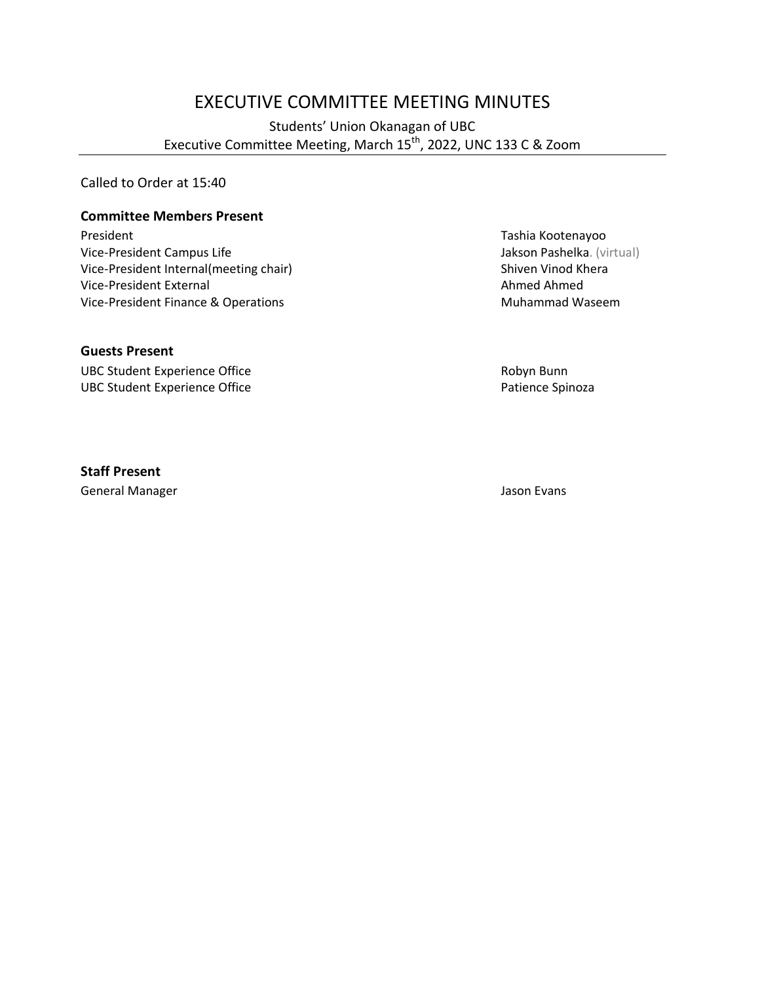# EXECUTIVE COMMITTEE MEETING MINUTES

Students' Union Okanagan of UBC Executive Committee Meeting, March 15<sup>th</sup>, 2022, UNC 133 C & Zoom

Called to Order at 15:40

#### **Committee Members Present**

President Tashia Kootenayoo Vice-President Campus Life **Jakson Pashelka.** (virtual) Vice-President Internal(meeting chair) Shiven Vinod Khera Shiven Vinod Khera Vice-President External Ahmed Ahmed Ahmed Ahmed Ahmed Ahmed Ahmed Ahmed Ahmed Ahmed Ahmed Ahmed Ahmed Ahmed Ahmed Ahmed Ahmed Ahmed Ahmed Ahmed Ahmed Ahmed Ahmed Ahmed Ahmed Ahmed Ahmed Ahmed Ahmed Ahmed Ahmed Ahmed Ahmed Vice-President Finance & Operations Muhammad Waseem

#### **Guests Present**

UBC Student Experience Office **Robyn Bunn** UBC Student Experience Office **Patience Spinoza** Patience Spinoza

**Staff Present**

General Manager Jason Evans